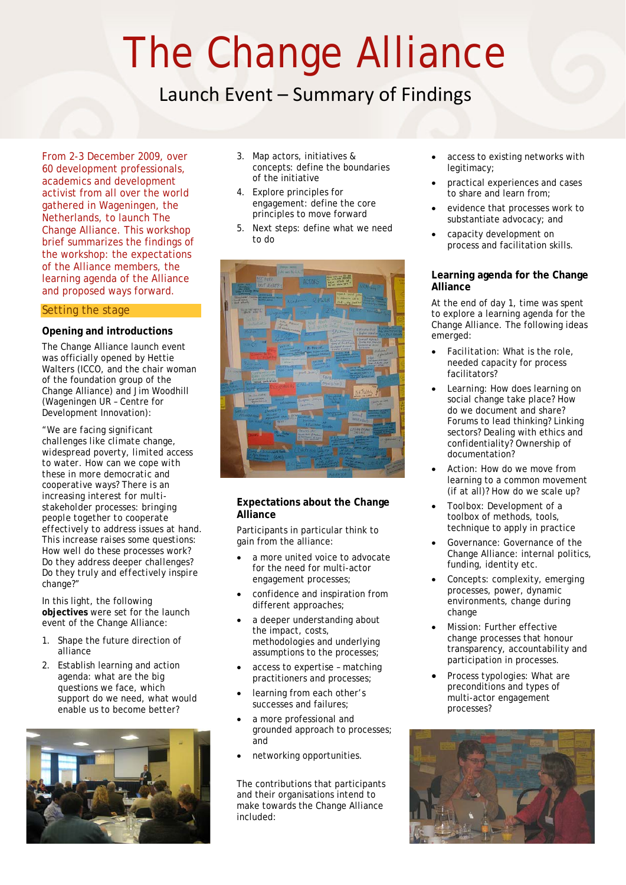# The Change Alliance

# Launch Event – Summary of Findings

From 2-3 December 2009, over 60 development professionals, academics and development activist from all over the world gathered in Wageningen, the Netherlands, to launch The Change Alliance. This workshop brief summarizes the findings of the workshop: the expectations of the Alliance members, the learning agenda of the Alliance and proposed ways forward.

# Setting the stage

#### **Opening and introductions**

The Change Alliance launch event was officially opened by Hettie Walters (ICCO, and the chair woman of the foundation group of the Change Alliance) and Jim Woodhill (Wageningen UR – Centre for Development Innovation):

*"We are facing significant challenges like climate change, widespread poverty, limited access to water. How can we cope with these in more democratic and cooperative ways? There is an increasing interest for multistakeholder processes: bringing people together to cooperate effectively to address issues at hand. This increase raises some questions: How well do these processes work? Do they address deeper challenges? Do they truly and effectively inspire change?"* 

In this light, the following **objectives** were set for the launch event of the Change Alliance:

- 1. Shape the future direction of alliance
- 2. Establish learning and action agenda: what are the big questions we face, which support do we need, what would enable us to become better?



- 3. Map actors, initiatives & concepts: define the boundaries of the initiative
- 4. Explore principles for engagement: define the core principles to move forward
- 5. Next steps: define what we need to do



# **Expectations about the Change Alliance**

Participants in particular think to gain from the alliance:

- a more united voice to advocate for the need for multi-actor engagement processes;
- confidence and inspiration from different approaches;
- a deeper understanding about the impact, costs, methodologies and underlying assumptions to the processes;
- access to expertise matching practitioners and processes;
- learning from each other's successes and failures;
- a more professional and grounded approach to processes; and
- networking opportunities.

The contributions that participants and their organisations intend to make towards the Change Alliance included:

- access to existing networks with legitimacy;
- practical experiences and cases to share and learn from;
- evidence that processes work to substantiate advocacy; and
- capacity development on process and facilitation skills.

### **Learning agenda for the Change Alliance**

At the end of day 1, time was spent to explore a learning agenda for the Change Alliance. The following ideas emerged:

- *Facilitation*: What is the role, needed capacity for process facilitators?
- *Learning:* How does learning on social change take place? How do we document and share? Forums to lead thinking? Linking sectors? Dealing with ethics and confidentiality? Ownership of documentation?
- *Action:* How do we move from learning to a common movement (if at all)? How do we scale up?
- *Toolbox:* Development of a toolbox of methods, tools, technique to apply in practice
- *Governance:* Governance of the Change Alliance: internal politics, funding, identity etc.
- *Concepts:* complexity, emerging processes, power, dynamic environments, change during change
- *Mission:* Further effective change processes that honour transparency, accountability and participation in processes.
- *Process typologies:* What are preconditions and types of multi-actor engagement processes?

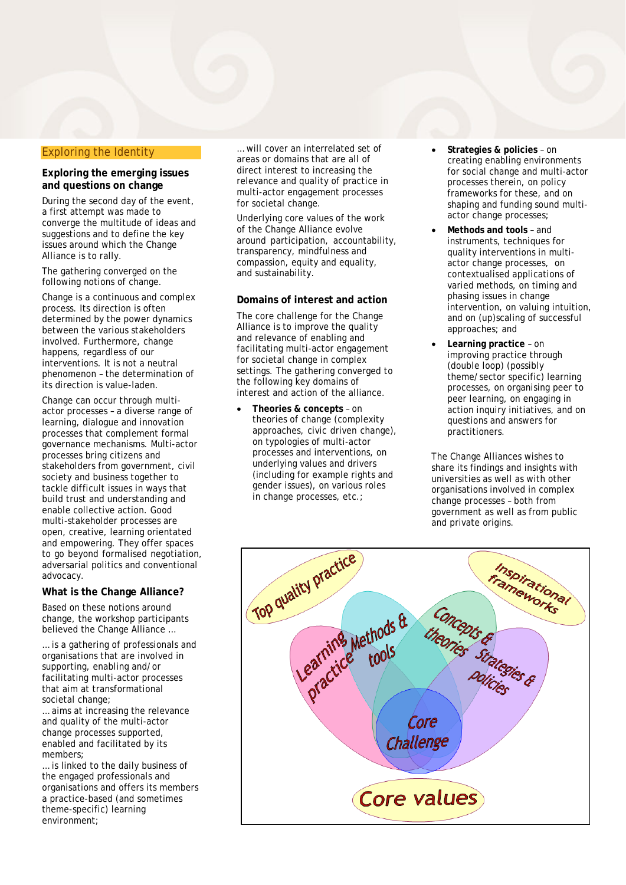#### Exploring the Identity

#### **Exploring the emerging issues and questions on change**

During the second day of the event, a first attempt was made to converge the multitude of ideas and suggestions and to define the key issues around which the Change Alliance is to rally.

The gathering converged on the following notions of change.

Change is a continuous and complex process. Its direction is often determined by the power dynamics between the various stakeholders involved. Furthermore, change happens, regardless of our interventions. It is not a neutral phenomenon – the determination of its direction is value-laden.

Change can occur through multiactor processes – a diverse range of learning, dialogue and innovation processes that complement formal governance mechanisms. Multi-actor processes bring citizens and stakeholders from government, civil society and business together to tackle difficult issues in ways that build trust and understanding and enable collective action. Good multi-stakeholder processes are open, creative, learning orientated and empowering. They offer spaces to go beyond formalised negotiation, adversarial politics and conventional advocacy.

#### **What is the Change Alliance?**

Based on these notions around change, the workshop participants believed the Change Alliance …

… is a gathering of professionals and organisations that are involved in supporting, enabling and/or facilitating multi-actor processes that aim at transformational societal change;

… aims at increasing the relevance and quality of the multi-actor change processes supported, enabled and facilitated by its members;

… is linked to the daily business of the engaged professionals and organisations and offers its members a practice-based (and sometimes theme-specific) learning environment;

… will cover an interrelated set of areas or domains that are all of direct interest to increasing the relevance and quality of practice in multi-actor engagement processes for societal change.

Underlying core values of the work of the Change Alliance evolve around participation, accountability, transparency, mindfulness and compassion, equity and equality, and sustainability.

#### **Domains of interest and action**

The core challenge for the Change Alliance is to improve the quality and relevance of enabling and facilitating multi-actor engagement for societal change in complex settings. The gathering converged to the following key domains of interest and action of the alliance.

• **Theories & concepts** – on theories of change (complexity approaches, civic driven change), on typologies of multi-actor processes and interventions, on underlying values and drivers (including for example rights and gender issues), on various roles in change processes, etc.;

- **Strategies & policies** on creating enabling environments for social change and multi-actor processes therein, on policy frameworks for these, and on shaping and funding sound multiactor change processes;
- **Methods and tools**  and instruments, techniques for quality interventions in multiactor change processes, on contextualised applications of varied methods, on timing and phasing issues in change intervention, on valuing intuition, and on (up)scaling of successful approaches; and
- **Learning practice** on improving practice through (double loop) (possibly theme/sector specific) learning processes, on organising peer to peer learning, on engaging in action inquiry initiatives, and on questions and answers for practitioners.

The Change Alliances wishes to share its findings and insights with universities as well as with other organisations involved in complex change processes – both from government as well as from public and private origins.